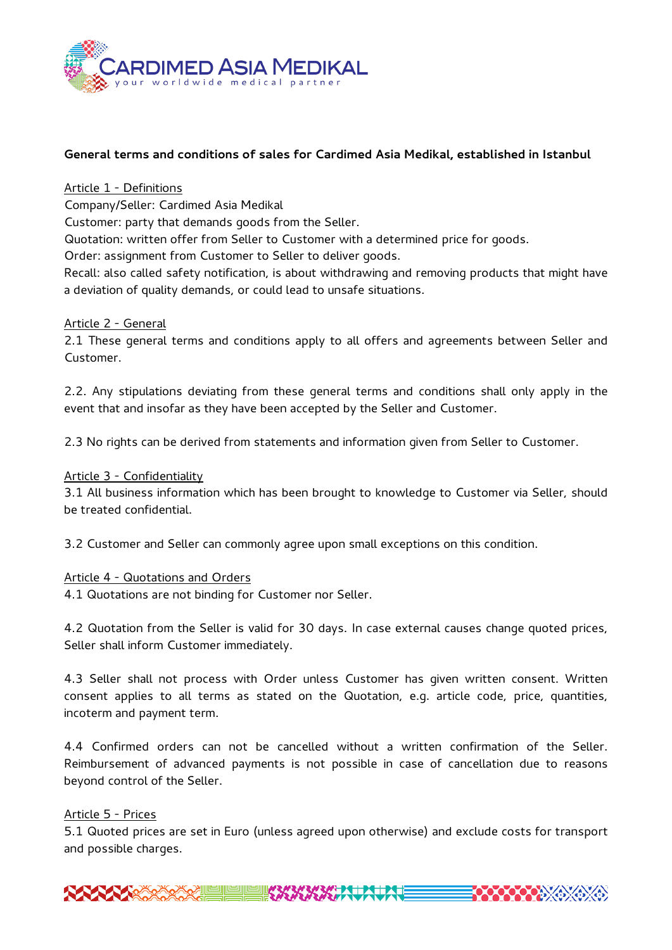

# **General terms and conditions of sales for Cardimed Asia Medikal, established in Istanbul**

#### Article 1 - Definitions

Company/Seller: Cardimed Asia Medikal

Customer: party that demands goods from the Seller.

Quotation: written offer from Seller to Customer with a determined price for goods.

Order: assignment from Customer to Seller to deliver goods.

Recall: also called safety notification, is about withdrawing and removing products that might have a deviation of quality demands, or could lead to unsafe situations.

#### Article 2 - General

2.1 These general terms and conditions apply to all offers and agreements between Seller and Customer.

2.2. Any stipulations deviating from these general terms and conditions shall only apply in the event that and insofar as they have been accepted by the Seller and Customer.

2.3 No rights can be derived from statements and information given from Seller to Customer.

#### Article 3 - Confidentiality

3.1 All business information which has been brought to knowledge to Customer via Seller, should be treated confidential.

3.2 Customer and Seller can commonly agree upon small exceptions on this condition.

## Article 4 - Quotations and Orders

4.1 Quotations are not binding for Customer nor Seller.

4.2 Quotation from the Seller is valid for 30 days. In case external causes change quoted prices, Seller shall inform Customer immediately.

4.3 Seller shall not process with Order unless Customer has given written consent. Written consent applies to all terms as stated on the Quotation, e.g. article code, price, quantities, incoterm and payment term.

4.4 Confirmed orders can not be cancelled without a written confirmation of the Seller. Reimbursement of advanced payments is not possible in case of cancellation due to reasons beyond control of the Seller.

## Article 5 - Prices

5.1 Quoted prices are set in Euro (unless agreed upon otherwise) and exclude costs for transport and possible charges.

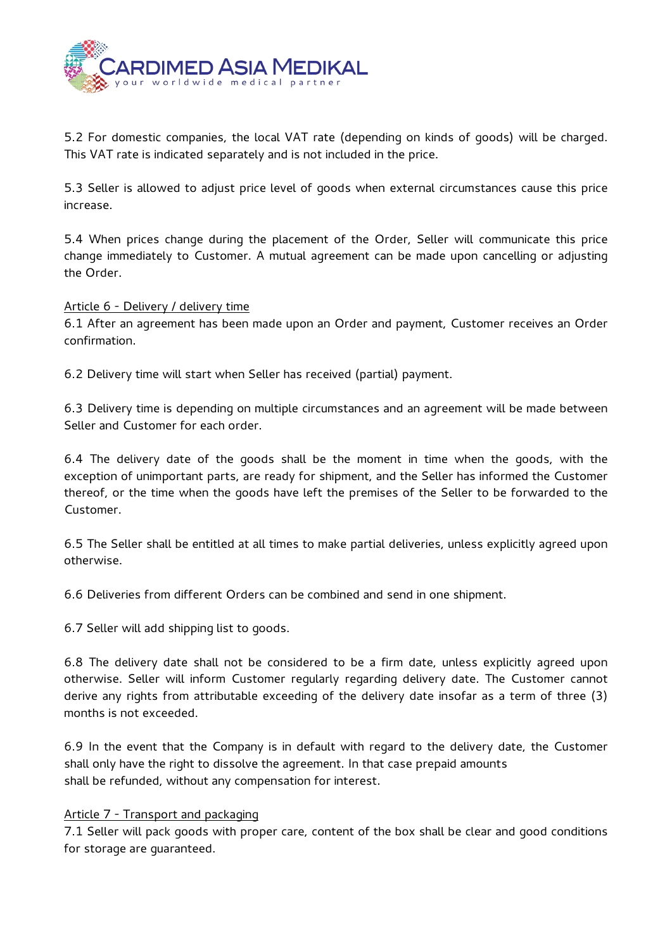

5.2 For domestic companies, the local VAT rate (depending on kinds of goods) will be charged. This VAT rate is indicated separately and is not included in the price.

5.3 Seller is allowed to adjust price level of goods when external circumstances cause this price increase.

5.4 When prices change during the placement of the Order, Seller will communicate this price change immediately to Customer. A mutual agreement can be made upon cancelling or adjusting the Order.

## Article 6 - Delivery / delivery time

6.1 After an agreement has been made upon an Order and payment, Customer receives an Order confirmation.

6.2 Delivery time will start when Seller has received (partial) payment.

6.3 Delivery time is depending on multiple circumstances and an agreement will be made between Seller and Customer for each order.

6.4 The delivery date of the goods shall be the moment in time when the goods, with the exception of unimportant parts, are ready for shipment, and the Seller has informed the Customer thereof, or the time when the goods have left the premises of the Seller to be forwarded to the Customer.

6.5 The Seller shall be entitled at all times to make partial deliveries, unless explicitly agreed upon otherwise.

6.6 Deliveries from different Orders can be combined and send in one shipment.

6.7 Seller will add shipping list to goods.

6.8 The delivery date shall not be considered to be a firm date, unless explicitly agreed upon otherwise. Seller will inform Customer regularly regarding delivery date. The Customer cannot derive any rights from attributable exceeding of the delivery date insofar as a term of three (3) months is not exceeded.

6.9 In the event that the Company is in default with regard to the delivery date, the Customer shall only have the right to dissolve the agreement. In that case prepaid amounts shall be refunded, without any compensation for interest.

## Article 7 - Transport and packaging

7.1 Seller will pack goods with proper care, content of the box shall be clear and good conditions for storage are guaranteed.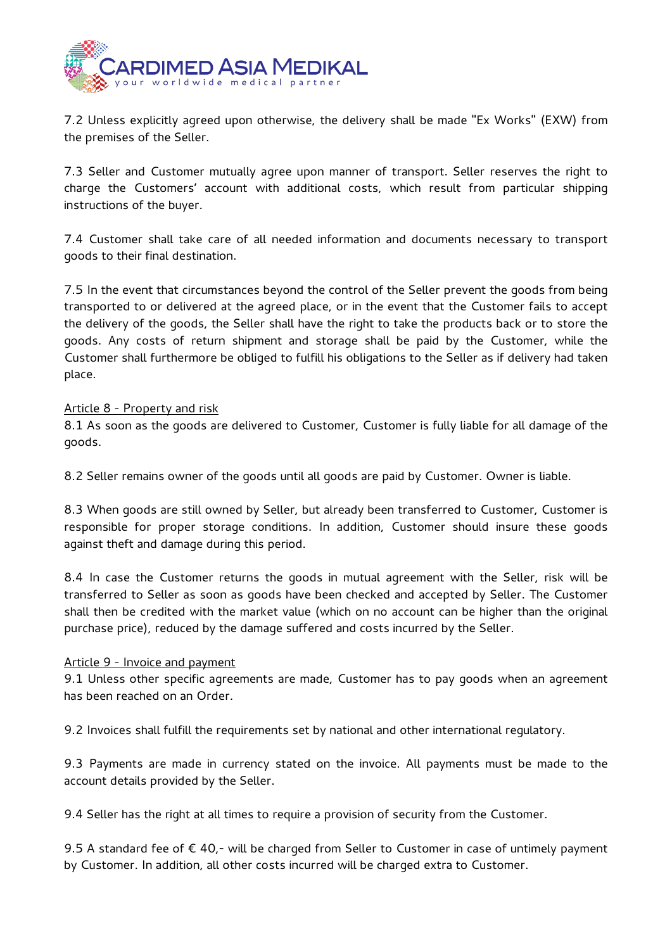

7.2 Unless explicitly agreed upon otherwise, the delivery shall be made "Ex Works" (EXW) from the premises of the Seller.

7.3 Seller and Customer mutually agree upon manner of transport. Seller reserves the right to charge the Customers' account with additional costs, which result from particular shipping instructions of the buyer.

7.4 Customer shall take care of all needed information and documents necessary to transport goods to their final destination.

7.5 In the event that circumstances beyond the control of the Seller prevent the goods from being transported to or delivered at the agreed place, or in the event that the Customer fails to accept the delivery of the goods, the Seller shall have the right to take the products back or to store the goods. Any costs of return shipment and storage shall be paid by the Customer, while the Customer shall furthermore be obliged to fulfill his obligations to the Seller as if delivery had taken place.

## Article 8 - Property and risk

8.1 As soon as the goods are delivered to Customer, Customer is fully liable for all damage of the goods.

8.2 Seller remains owner of the goods until all goods are paid by Customer. Owner is liable.

8.3 When goods are still owned by Seller, but already been transferred to Customer, Customer is responsible for proper storage conditions. In addition, Customer should insure these goods against theft and damage during this period.

8.4 In case the Customer returns the goods in mutual agreement with the Seller, risk will be transferred to Seller as soon as goods have been checked and accepted by Seller. The Customer shall then be credited with the market value (which on no account can be higher than the original purchase price), reduced by the damage suffered and costs incurred by the Seller.

#### Article 9 - Invoice and payment

9.1 Unless other specific agreements are made, Customer has to pay goods when an agreement has been reached on an Order.

9.2 Invoices shall fulfill the requirements set by national and other international regulatory.

9.3 Payments are made in currency stated on the invoice. All payments must be made to the account details provided by the Seller.

9.4 Seller has the right at all times to require a provision of security from the Customer.

9.5 A standard fee of € 40,- will be charged from Seller to Customer in case of untimely payment by Customer. In addition, all other costs incurred will be charged extra to Customer.